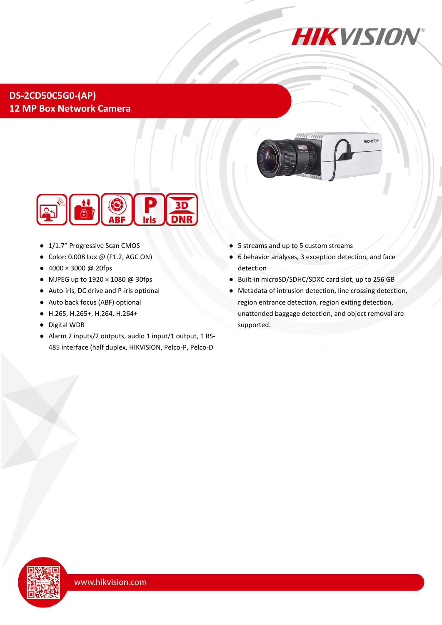

## **DS-2CD50C5G0-(AP) 12 MP Box Network Camera**





- 1/1.7" Progressive Scan CMOS
- Color: 0.008 Lux @ (F1.2, AGC ON)
- $4000 \times 3000$  @ 20fps
- MJPEG up to 1920 × 1080 @ 30fps
- Auto-iris, DC drive and P-iris optional
- Auto back focus (ABF) optional
- H.265, H.265+, H.264, H.264+
- Digital WDR
- Alarm 2 inputs/2 outputs, audio 1 input/1 output, 1 RS-485 interface (half duplex, HIKVISION, Pelco-P, Pelco-D
- 5 streams and up to 5 custom streams
- 6 behavior analyses, 3 exception detection, and face detection
- Built-in microSD/SDHC/SDXC card slot, up to 256 GB
- Metadata of intrusion detection, line crossing detection, region entrance detection, region exiting detection, unattended baggage detection, and object removal are supported.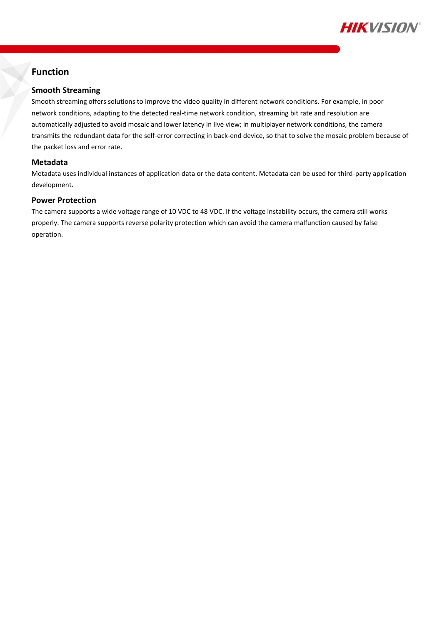

## **Function**

### **Smooth Streaming**

Smooth streaming offers solutions to improve the video quality in different network conditions. For example, in poor network conditions, adapting to the detected real-time network condition, streaming bit rate and resolution are automatically adjusted to avoid mosaic and lower latency in live view; in multiplayer network conditions, the camera transmits the redundant data for the self-error correcting in back-end device, so that to solve the mosaic problem because of the packet loss and error rate.

### **Metadata**

Metadata uses individual instances of application data or the data content. Metadata can be used for third-party application development.

#### **Power Protection**

The camera supports a wide voltage range of 10 VDC to 48 VDC. If the voltage instability occurs, the camera still works properly. The camera supports reverse polarity protection which can avoid the camera malfunction caused by false operation.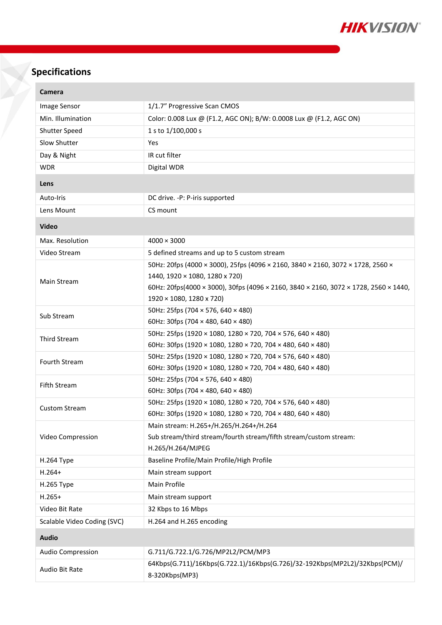

# **Specifications**

| Image Sensor<br>1/1.7" Progressive Scan CMOS<br>Min. Illumination<br>Color: 0.008 Lux @ (F1.2, AGC ON); B/W: 0.0008 Lux @ (F1.2, AGC ON)<br>1 s to 1/100,000 s<br><b>Shutter Speed</b><br>Slow Shutter<br>Yes |  |
|---------------------------------------------------------------------------------------------------------------------------------------------------------------------------------------------------------------|--|
|                                                                                                                                                                                                               |  |
|                                                                                                                                                                                                               |  |
|                                                                                                                                                                                                               |  |
|                                                                                                                                                                                                               |  |
| IR cut filter<br>Day & Night                                                                                                                                                                                  |  |
| Digital WDR<br><b>WDR</b>                                                                                                                                                                                     |  |
| Lens                                                                                                                                                                                                          |  |
| Auto-Iris<br>DC drive. - P: P-iris supported                                                                                                                                                                  |  |
| CS mount<br>Lens Mount                                                                                                                                                                                        |  |
| <b>Video</b>                                                                                                                                                                                                  |  |
| Max. Resolution<br>$4000 \times 3000$                                                                                                                                                                         |  |
| Video Stream<br>5 defined streams and up to 5 custom stream                                                                                                                                                   |  |
| 50Hz: 20fps (4000 × 3000), 25fps (4096 × 2160, 3840 × 2160, 3072 × 1728, 2560 ×                                                                                                                               |  |
| 1440, 1920 × 1080, 1280 x 720)<br>Main Stream                                                                                                                                                                 |  |
| 60Hz: 20fps(4000 × 3000), 30fps (4096 × 2160, 3840 × 2160, 3072 × 1728, 2560 × 1440,                                                                                                                          |  |
| 1920 × 1080, 1280 x 720)                                                                                                                                                                                      |  |
| 50Hz: 25fps (704 × 576, 640 × 480)<br>Sub Stream                                                                                                                                                              |  |
| 60Hz: 30fps (704 $\times$ 480, 640 $\times$ 480)<br>50Hz: 25fps (1920 × 1080, 1280 × 720, 704 × 576, 640 × 480)                                                                                               |  |
| Third Stream<br>60Hz: 30fps (1920 × 1080, 1280 × 720, 704 × 480, 640 × 480)                                                                                                                                   |  |
| 50Hz: 25fps (1920 × 1080, 1280 × 720, 704 × 576, 640 × 480)                                                                                                                                                   |  |
| Fourth Stream<br>60Hz: 30fps (1920 × 1080, 1280 × 720, 704 × 480, 640 × 480)                                                                                                                                  |  |
| 50Hz: 25fps (704 × 576, 640 × 480)                                                                                                                                                                            |  |
| <b>Fifth Stream</b><br>60Hz: 30fps (704 $\times$ 480, 640 $\times$ 480)                                                                                                                                       |  |
| 50Hz: 25fps (1920 × 1080, 1280 × 720, 704 × 576, 640 × 480)<br><b>Custom Stream</b>                                                                                                                           |  |
| 60Hz: 30fps (1920 × 1080, 1280 × 720, 704 × 480, 640 × 480)                                                                                                                                                   |  |
| Main stream: H.265+/H.265/H.264+/H.264                                                                                                                                                                        |  |
| Sub stream/third stream/fourth stream/fifth stream/custom stream:<br>Video Compression                                                                                                                        |  |
| H.265/H.264/MJPEG                                                                                                                                                                                             |  |
| Baseline Profile/Main Profile/High Profile<br>H.264 Type                                                                                                                                                      |  |
| $H.264+$<br>Main stream support                                                                                                                                                                               |  |
| Main Profile<br>H.265 Type                                                                                                                                                                                    |  |
| $H.265+$<br>Main stream support                                                                                                                                                                               |  |
| Video Bit Rate<br>32 Kbps to 16 Mbps                                                                                                                                                                          |  |
| Scalable Video Coding (SVC)<br>H.264 and H.265 encoding                                                                                                                                                       |  |
| <b>Audio</b>                                                                                                                                                                                                  |  |
| Audio Compression<br>G.711/G.722.1/G.726/MP2L2/PCM/MP3                                                                                                                                                        |  |
| 64Kbps(G.711)/16Kbps(G.722.1)/16Kbps(G.726)/32-192Kbps(MP2L2)/32Kbps(PCM)/<br>Audio Bit Rate<br>8-320Kbps(MP3)                                                                                                |  |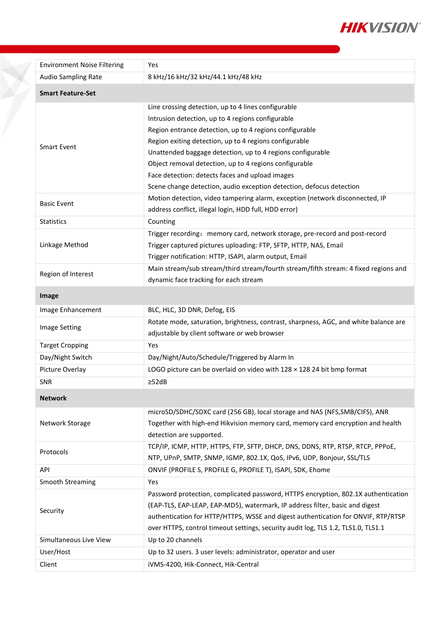

| <b>Environment Noise Filtering</b> | Yes                                                                                                                                                                                                                                                                                                                                                                                                                                                                              |  |
|------------------------------------|----------------------------------------------------------------------------------------------------------------------------------------------------------------------------------------------------------------------------------------------------------------------------------------------------------------------------------------------------------------------------------------------------------------------------------------------------------------------------------|--|
| Audio Sampling Rate                | 8 kHz/16 kHz/32 kHz/44.1 kHz/48 kHz                                                                                                                                                                                                                                                                                                                                                                                                                                              |  |
| <b>Smart Feature-Set</b>           |                                                                                                                                                                                                                                                                                                                                                                                                                                                                                  |  |
| <b>Smart Event</b>                 | Line crossing detection, up to 4 lines configurable<br>Intrusion detection, up to 4 regions configurable<br>Region entrance detection, up to 4 regions configurable<br>Region exiting detection, up to 4 regions configurable<br>Unattended baggage detection, up to 4 regions configurable<br>Object removal detection, up to 4 regions configurable<br>Face detection: detects faces and upload images<br>Scene change detection, audio exception detection, defocus detection |  |
| <b>Basic Event</b>                 | Motion detection, video tampering alarm, exception (network disconnected, IP<br>address conflict, illegal login, HDD full, HDD error)                                                                                                                                                                                                                                                                                                                                            |  |
| <b>Statistics</b>                  | Counting                                                                                                                                                                                                                                                                                                                                                                                                                                                                         |  |
| Linkage Method                     | Trigger recording: memory card, network storage, pre-record and post-record<br>Trigger captured pictures uploading: FTP, SFTP, HTTP, NAS, Email<br>Trigger notification: HTTP, ISAPI, alarm output, Email                                                                                                                                                                                                                                                                        |  |
| Region of Interest                 | Main stream/sub stream/third stream/fourth stream/fifth stream: 4 fixed regions and<br>dynamic face tracking for each stream                                                                                                                                                                                                                                                                                                                                                     |  |
| Image                              |                                                                                                                                                                                                                                                                                                                                                                                                                                                                                  |  |
| Image Enhancement                  | BLC, HLC, 3D DNR, Defog, EIS                                                                                                                                                                                                                                                                                                                                                                                                                                                     |  |
| Image Setting                      | Rotate mode, saturation, brightness, contrast, sharpness, AGC, and white balance are<br>adjustable by client software or web browser                                                                                                                                                                                                                                                                                                                                             |  |
| <b>Target Cropping</b>             | Yes                                                                                                                                                                                                                                                                                                                                                                                                                                                                              |  |
| Day/Night Switch                   | Day/Night/Auto/Schedule/Triggered by Alarm In                                                                                                                                                                                                                                                                                                                                                                                                                                    |  |
| Picture Overlay                    | LOGO picture can be overlaid on video with $128 \times 128$ 24 bit bmp format                                                                                                                                                                                                                                                                                                                                                                                                    |  |
| <b>SNR</b>                         | $\geq$ 52dB                                                                                                                                                                                                                                                                                                                                                                                                                                                                      |  |
| <b>Network</b>                     |                                                                                                                                                                                                                                                                                                                                                                                                                                                                                  |  |
| Network Storage                    | microSD/SDHC/SDXC card (256 GB), local storage and NAS (NFS, SMB/CIFS), ANR<br>Together with high-end Hikvision memory card, memory card encryption and health<br>detection are supported.                                                                                                                                                                                                                                                                                       |  |
| Protocols                          | TCP/IP, ICMP, HTTP, HTTPS, FTP, SFTP, DHCP, DNS, DDNS, RTP, RTSP, RTCP, PPPOE,<br>NTP, UPnP, SMTP, SNMP, IGMP, 802.1X, QoS, IPv6, UDP, Bonjour, SSL/TLS                                                                                                                                                                                                                                                                                                                          |  |
| API                                | ONVIF (PROFILE S, PROFILE G, PROFILE T), ISAPI, SDK, Ehome                                                                                                                                                                                                                                                                                                                                                                                                                       |  |
| <b>Smooth Streaming</b>            | Yes                                                                                                                                                                                                                                                                                                                                                                                                                                                                              |  |
| Security                           | Password protection, complicated password, HTTPS encryption, 802.1X authentication<br>(EAP-TLS, EAP-LEAP, EAP-MD5), watermark, IP address filter, basic and digest<br>authentication for HTTP/HTTPS, WSSE and digest authentication for ONVIF, RTP/RTSP<br>over HTTPS, control timeout settings, security audit log, TLS 1.2, TLS1.0, TLS1.1                                                                                                                                     |  |
| Simultaneous Live View             | Up to 20 channels                                                                                                                                                                                                                                                                                                                                                                                                                                                                |  |
| User/Host                          | Up to 32 users. 3 user levels: administrator, operator and user                                                                                                                                                                                                                                                                                                                                                                                                                  |  |
| Client                             | iVMS-4200, Hik-Connect, Hik-Central                                                                                                                                                                                                                                                                                                                                                                                                                                              |  |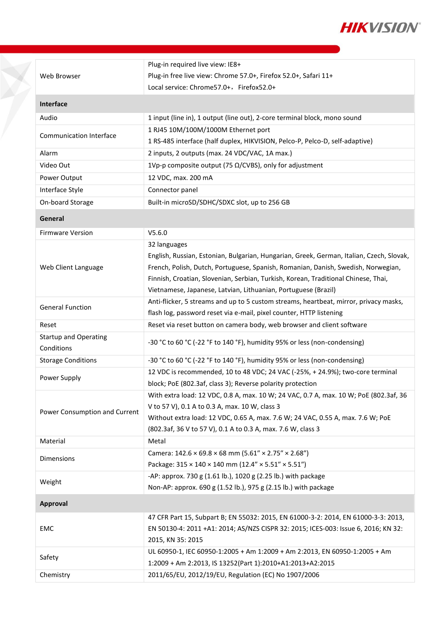

| Web Browser                    | Plug-in required live view: IE8+                                                         |
|--------------------------------|------------------------------------------------------------------------------------------|
|                                | Plug-in free live view: Chrome 57.0+, Firefox 52.0+, Safari 11+                          |
|                                | Local service: Chrome57.0+, Firefox52.0+                                                 |
| <b>Interface</b>               |                                                                                          |
| Audio                          | 1 input (line in), 1 output (line out), 2-core terminal block, mono sound                |
| <b>Communication Interface</b> | 1 RJ45 10M/100M/1000M Ethernet port                                                      |
|                                | 1 RS-485 interface (half duplex, HIKVISION, Pelco-P, Pelco-D, self-adaptive)             |
| Alarm                          | 2 inputs, 2 outputs (max. 24 VDC/VAC, 1A max.)                                           |
| Video Out                      | 1Vp-p composite output (75 $\Omega$ /CVBS), only for adjustment                          |
| Power Output                   | 12 VDC, max. 200 mA                                                                      |
| Interface Style                | Connector panel                                                                          |
| On-board Storage               | Built-in microSD/SDHC/SDXC slot, up to 256 GB                                            |
| General                        |                                                                                          |
| <b>Firmware Version</b>        | V5.6.0                                                                                   |
|                                | 32 languages                                                                             |
| Web Client Language            | English, Russian, Estonian, Bulgarian, Hungarian, Greek, German, Italian, Czech, Slovak, |
|                                | French, Polish, Dutch, Portuguese, Spanish, Romanian, Danish, Swedish, Norwegian,        |
|                                | Finnish, Croatian, Slovenian, Serbian, Turkish, Korean, Traditional Chinese, Thai,       |
|                                | Vietnamese, Japanese, Latvian, Lithuanian, Portuguese (Brazil)                           |
|                                | Anti-flicker, 5 streams and up to 5 custom streams, heartbeat, mirror, privacy masks,    |
| <b>General Function</b>        | flash log, password reset via e-mail, pixel counter, HTTP listening                      |
| Reset                          | Reset via reset button on camera body, web browser and client software                   |
| <b>Startup and Operating</b>   |                                                                                          |
| Conditions                     | -30 °C to 60 °C (-22 °F to 140 °F), humidity 95% or less (non-condensing)                |
| <b>Storage Conditions</b>      | -30 °C to 60 °C (-22 °F to 140 °F), humidity 95% or less (non-condensing)                |
| Power Supply                   | 12 VDC is recommended, 10 to 48 VDC; 24 VAC (-25%, +24.9%); two-core terminal            |
|                                | block; PoE (802.3af, class 3); Reverse polarity protection                               |
|                                | With extra load: 12 VDC, 0.8 A, max. 10 W; 24 VAC, 0.7 A, max. 10 W; PoE (802.3af, 36    |
| Power Consumption and Current  | V to 57 V), 0.1 A to 0.3 A, max. 10 W, class 3                                           |
|                                | Without extra load: 12 VDC, 0.65 A, max. 7.6 W; 24 VAC, 0.55 A, max. 7.6 W; PoE          |
|                                | (802.3af, 36 V to 57 V), 0.1 A to 0.3 A, max. 7.6 W, class 3                             |
| Material                       | Metal                                                                                    |
| <b>Dimensions</b>              | Camera: $142.6 \times 69.8 \times 68$ mm $(5.61'' \times 2.75'' \times 2.68'')$          |
|                                | Package: 315 × 140 × 140 mm (12.4" × 5.51" × 5.51")                                      |
| Weight                         | -AP: approx. 730 g (1.61 lb.), 1020 g (2.25 lb.) with package                            |
|                                | Non-AP: approx. 690 g (1.52 lb.), 975 g (2.15 lb.) with package                          |
| Approval                       |                                                                                          |
| EMC                            | 47 CFR Part 15, Subpart B; EN 55032: 2015, EN 61000-3-2: 2014, EN 61000-3-3: 2013,       |
|                                | EN 50130-4: 2011 +A1: 2014; AS/NZS CISPR 32: 2015; ICES-003: Issue 6, 2016; KN 32:       |
|                                | 2015, KN 35: 2015                                                                        |
| Safety                         | UL 60950-1, IEC 60950-1:2005 + Am 1:2009 + Am 2:2013, EN 60950-1:2005 + Am               |
|                                |                                                                                          |
|                                | 1:2009 + Am 2:2013, IS 13252(Part 1):2010+A1:2013+A2:2015                                |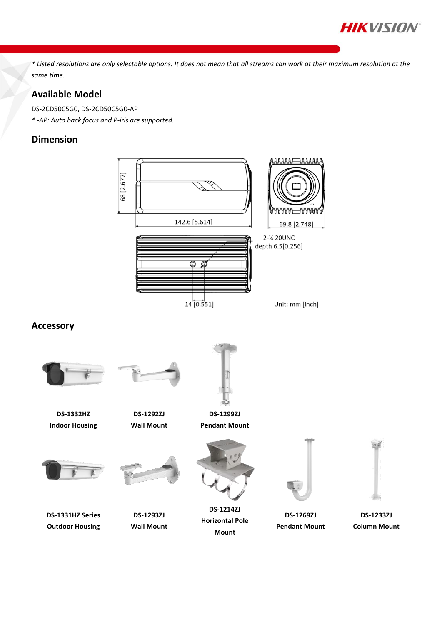

*\* Listed resolutions are only selectable options. It does not mean that all streams can work at their maximum resolution at the same time.*

## **Available Model**

DS-2CD50C5G0, DS-2CD50C5G0-AP

*\* -AP: Auto back focus and P-iris are supported.*

## **Dimension**

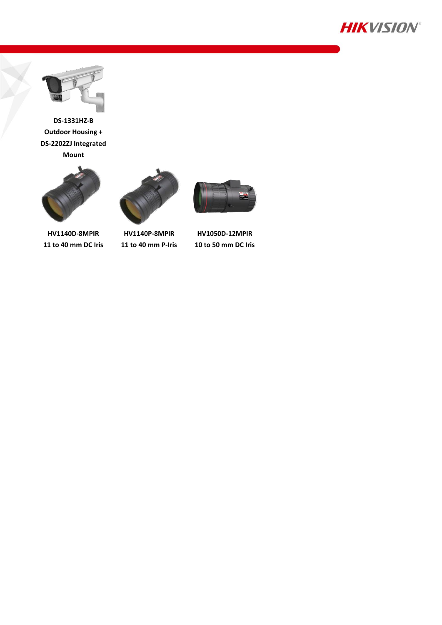![](_page_6_Picture_0.jpeg)

![](_page_6_Picture_1.jpeg)

**DS-1331HZ-B Outdoor Housing + DS-2202ZJ Integrated Mount**

![](_page_6_Picture_3.jpeg)

**HV1140D-8MPIR 11 to 40 mm DC Iris**

![](_page_6_Picture_5.jpeg)

**HV1140P-8MPIR 11 to 40 mm P-Iris**

![](_page_6_Picture_7.jpeg)

**HV1050D-12MPIR 10 to 50 mm DC Iris**